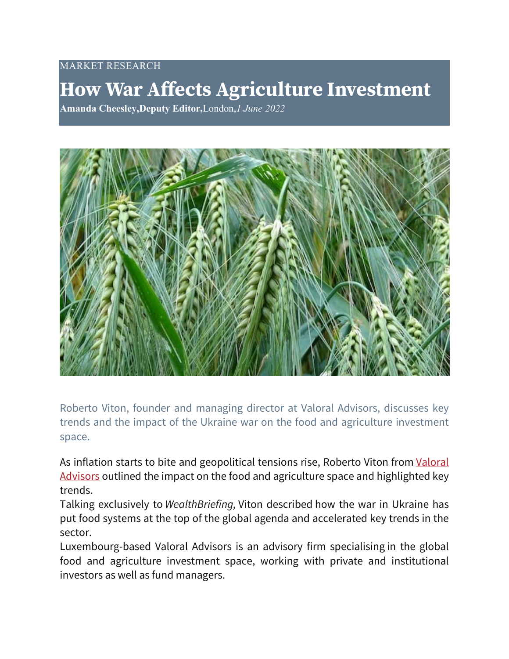## MARKET RESEARCH

## **How War Affects Agriculture Investment**

**Amanda Cheesley,Deputy Editor,**London,*1 June 2022*



Roberto Viton, founder and managing director at Valoral Advisors, discusses key trends and the impact of the Ukraine war on the food and agriculture investment space.

As inflation starts to bite and geopolitical tensions rise, Roberto Viton from [Valoral](https://www.wealthbriefing.com/html/section.php?keywords=Valoral%20Advisors)  [Advisors](https://www.wealthbriefing.com/html/section.php?keywords=Valoral%20Advisors) outlined the impact on the food and agriculture space and highlighted key trends.

Talking exclusively to *WealthBriefing,* Viton described how the war in Ukraine has put food systems at the top of the global agenda and accelerated key trends in the sector.

Luxembourg-based Valoral Advisors is an advisory firm specialising in the global food and agriculture investment space, working with private and institutional investors as well as fund managers.